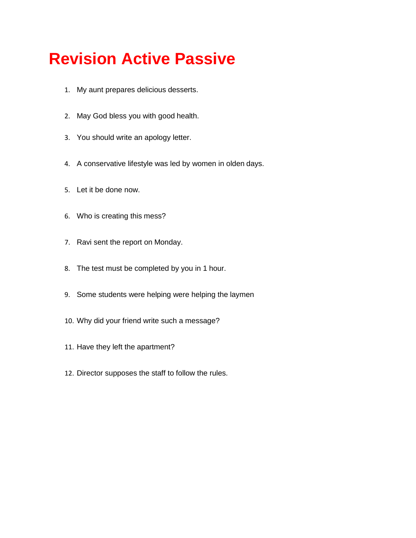## **Revision Active Passive**

- 1. My aunt prepares delicious desserts.
- 2. May God bless you with good health.
- 3. You should write an apology letter.
- 4. A conservative lifestyle was led by women in olden days.
- 5. Let it be done now.
- 6. Who is creating this mess?
- 7. Ravi sent the report on Monday.
- 8. The test must be completed by you in 1 hour.
- 9. Some students were helping were helping the laymen
- 10. Why did your friend write such a message?
- 11. Have they left the apartment?
- 12. Director supposes the staff to follow the rules.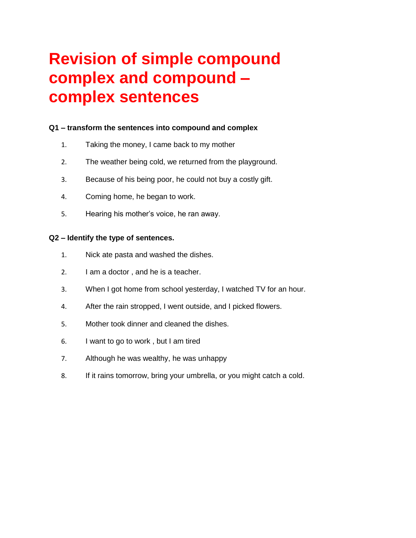# **Revision of simple compound complex and compound – complex sentences**

## **Q1 – transform the sentences into compound and complex**

- 1. Taking the money, I came back to my mother
- 2. The weather being cold, we returned from the playground.
- 3. Because of his being poor, he could not buy a costly gift.
- 4. Coming home, he began to work.
- 5. Hearing his mother's voice, he ran away.

## **Q2 – Identify the type of sentences.**

- 1. Nick ate pasta and washed the dishes.
- 2. I am a doctor , and he is a teacher.
- 3. When I got home from school yesterday, I watched TV for an hour.
- 4. After the rain stropped, I went outside, and I picked flowers.
- 5. Mother took dinner and cleaned the dishes.
- 6. I want to go to work , but I am tired
- 7. Although he was wealthy, he was unhappy
- 8. If it rains tomorrow, bring your umbrella, or you might catch a cold.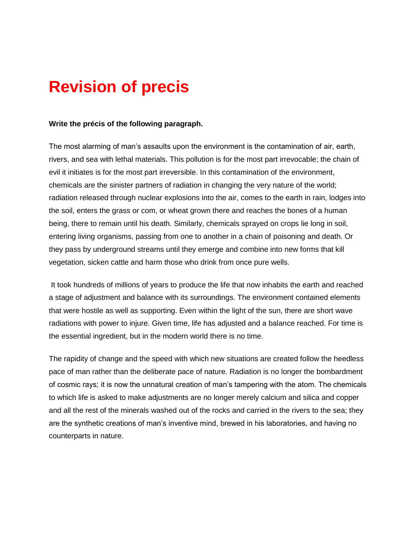## **Revision of precis**

#### **Write the précis of the following paragraph.**

The most alarming of man's assaults upon the environment is the contamination of air, earth, rivers, and sea with lethal materials. This pollution is for the most part irrevocable; the chain of evil it initiates is for the most part irreversible. In this contamination of the environment, chemicals are the sinister partners of radiation in changing the very nature of the world; radiation released through nuclear explosions into the air, comes to the earth in rain, lodges into the soil, enters the grass or com, or wheat grown there and reaches the bones of a human being, there to remain until his death. Similarly, chemicals sprayed on crops lie long in soil, entering living organisms, passing from one to another in a chain of poisoning and death. Or they pass by underground streams until they emerge and combine into new forms that kill vegetation, sicken cattle and harm those who drink from once pure wells.

It took hundreds of millions of years to produce the life that now inhabits the earth and reached a stage of adjustment and balance with its surroundings. The environment contained elements that were hostile as well as supporting. Even within the light of the sun, there are short wave radiations with power to injure. Given time, life has adjusted and a balance reached. For time is the essential ingredient, but in the modern world there is no time.

The rapidity of change and the speed with which new situations are created follow the heedless pace of man rather than the deliberate pace of nature. Radiation is no longer the bombardment of cosmic rays; it is now the unnatural creation of man's tampering with the atom. The chemicals to which life is asked to make adjustments are no longer merely calcium and silica and copper and all the rest of the minerals washed out of the rocks and carried in the rivers to the sea; they are the synthetic creations of man's inventive mind, brewed in his laboratories, and having no counterparts in nature.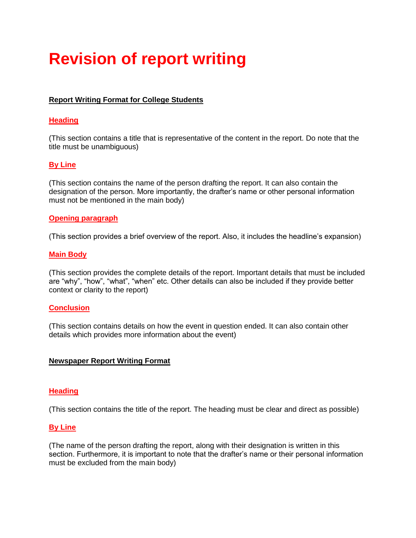# **Revision of report writing**

## **Report Writing Format for College Students**

#### **Heading**

(This section contains a title that is representative of the content in the report. Do note that the title must be unambiguous)

## **By Line**

(This section contains the name of the person drafting the report. It can also contain the designation of the person. More importantly, the drafter's name or other personal information must not be mentioned in the main body)

#### **Opening paragraph**

(This section provides a brief overview of the report. Also, it includes the headline's expansion)

#### **Main Body**

(This section provides the complete details of the report. Important details that must be included are "why", "how", "what", "when" etc. Other details can also be included if they provide better context or clarity to the report)

#### **Conclusion**

(This section contains details on how the event in question ended. It can also contain other details which provides more information about the event)

#### **Newspaper Report Writing Format**

#### **Heading**

(This section contains the title of the report. The heading must be clear and direct as possible)

#### **By Line**

(The name of the person drafting the report, along with their designation is written in this section. Furthermore, it is important to note that the drafter's name or their personal information must be excluded from the main body)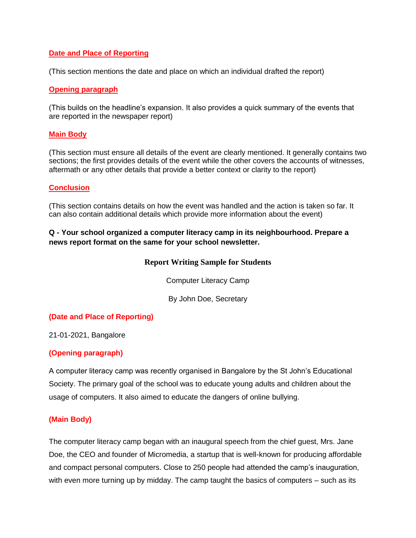## **Date and Place of Reporting**

(This section mentions the date and place on which an individual drafted the report)

#### **Opening paragraph**

(This builds on the headline's expansion. It also provides a quick summary of the events that are reported in the newspaper report)

#### **Main Body**

(This section must ensure all details of the event are clearly mentioned. It generally contains two sections; the first provides details of the event while the other covers the accounts of witnesses, aftermath or any other details that provide a better context or clarity to the report)

## **Conclusion**

(This section contains details on how the event was handled and the action is taken so far. It can also contain additional details which provide more information about the event)

## **Q - Your school organized a computer literacy camp in its neighbourhood. Prepare a news report format on the same for your school newsletter.**

## **Report Writing Sample for Students**

Computer Literacy Camp

By John Doe, Secretary

## **(Date and Place of Reporting)**

21-01-2021, Bangalore

## **(Opening paragraph)**

A computer literacy camp was recently organised in Bangalore by the St John's Educational Society. The primary goal of the school was to educate young adults and children about the usage of computers. It also aimed to educate the dangers of online bullying.

## **(Main Body)**

The computer literacy camp began with an inaugural speech from the chief guest, Mrs. Jane Doe, the CEO and founder of Micromedia, a startup that is well-known for producing affordable and compact personal computers. Close to 250 people had attended the camp's inauguration, with even more turning up by midday. The camp taught the basics of computers – such as its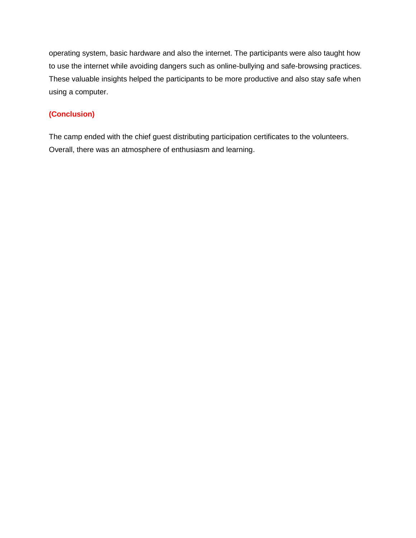operating system, basic hardware and also the internet. The participants were also taught how to use the internet while avoiding dangers such as online-bullying and safe-browsing practices. These valuable insights helped the participants to be more productive and also stay safe when using a computer.

## **(Conclusion)**

The camp ended with the chief guest distributing participation certificates to the volunteers. Overall, there was an atmosphere of enthusiasm and learning.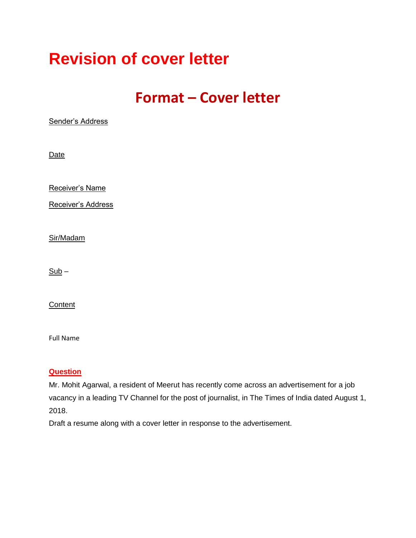## **Revision of cover letter**

## **Format – Cover letter**

Sender's Address

**Date** 

Receiver's Name

Receiver's Address

Sir/Madam

 $Sub -$ 

**Content** 

Full Name

## **Question**

Mr. Mohit Agarwal, a resident of Meerut has recently come across an advertisement for a job vacancy in a leading TV Channel for the post of journalist, in The Times of India dated August 1, 2018.

Draft a resume along with a cover letter in response to the advertisement.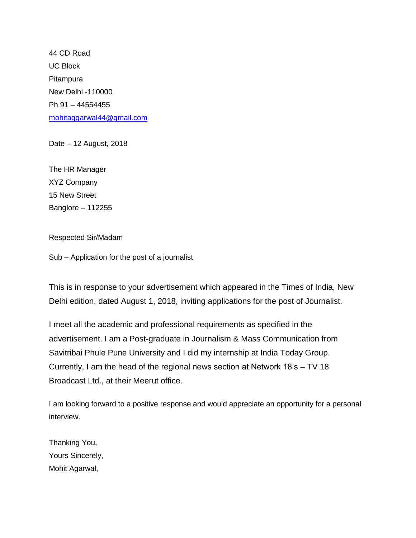44 CD Road UC Block Pitampura New Delhi -110000 Ph 91 – 44554455 [mohitaggarwal44@gmail.com](mailto:mohitaggarwal44@gmail.com)

Date – 12 August, 2018

The HR Manager XYZ Company 15 New Street Banglore – 112255

Respected Sir/Madam

Sub – Application for the post of a journalist

This is in response to your advertisement which appeared in the Times of India, New Delhi edition, dated August 1, 2018, inviting applications for the post of Journalist.

I meet all the academic and professional requirements as specified in the advertisement. I am a Post-graduate in Journalism & Mass Communication from Savitribai Phule Pune University and I did my internship at India Today Group. Currently, I am the head of the regional news section at Network 18's – TV 18 Broadcast Ltd., at their Meerut office.

I am looking forward to a positive response and would appreciate an opportunity for a personal interview.

Thanking You, Yours Sincerely, Mohit Agarwal,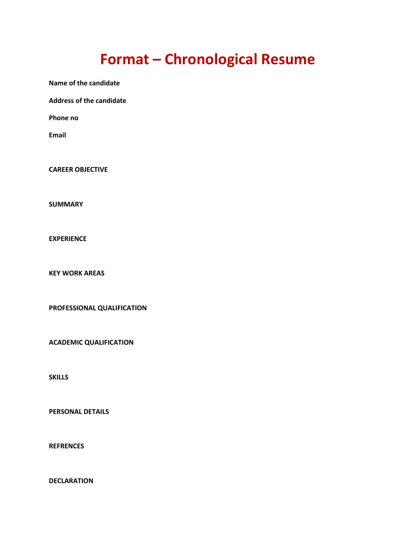## **Format – Chronological Resume**

**Name of the candidate**

**Address of the candidate**

**Phone no**

**Email**

**CAREER OBJECTIVE**

**SUMMARY**

**EXPERIENCE**

**KEY WORK AREAS**

**PROFESSIONAL QUALIFICATION**

**ACADEMIC QUALIFICATION**

**SKILLS**

**PERSONAL DETAILS**

**REFRENCES**

**DECLARATION**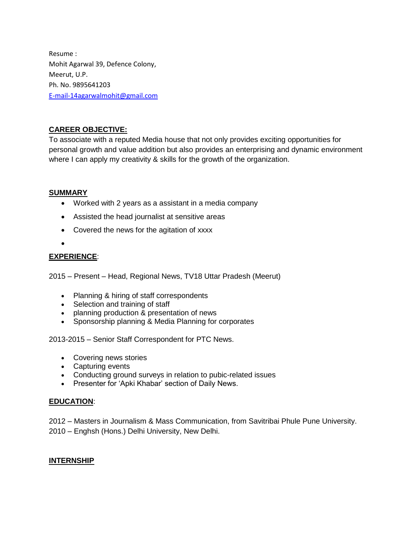Resume : Mohit Agarwal 39, Defence Colony, Meerut, U.P. Ph. No. 9895641203 [E-mail-14agarwalmohit@gmail.com](mailto:E-mail-14agarwalmohit@gmail.com)

## **CAREER OBJECTIVE:**

To associate with a reputed Media house that not only provides exciting opportunities for personal growth and value addition but also provides an enterprising and dynamic environment where I can apply my creativity & skills for the growth of the organization.

## **SUMMARY**

- Worked with 2 years as a assistant in a media company
- Assisted the head journalist at sensitive areas
- Covered the news for the agitation of xxxx
- $\bullet$

## **EXPERIENCE**:

2015 – Present – Head, Regional News, TV18 Uttar Pradesh (Meerut)

- Planning & hiring of staff correspondents
- Selection and training of staff
- planning production & presentation of news
- Sponsorship planning & Media Planning for corporates

2013-2015 – Senior Staff Correspondent for PTC News.

- Covering news stories
- Capturing events
- Conducting ground surveys in relation to pubic-related issues
- Presenter for 'Apki Khabar' section of Daily News.

## **EDUCATION**:

2012 – Masters in Journalism & Mass Communication, from Savitribai Phule Pune University. 2010 – Enghsh (Hons.) Delhi University, New Delhi.

## **INTERNSHIP**